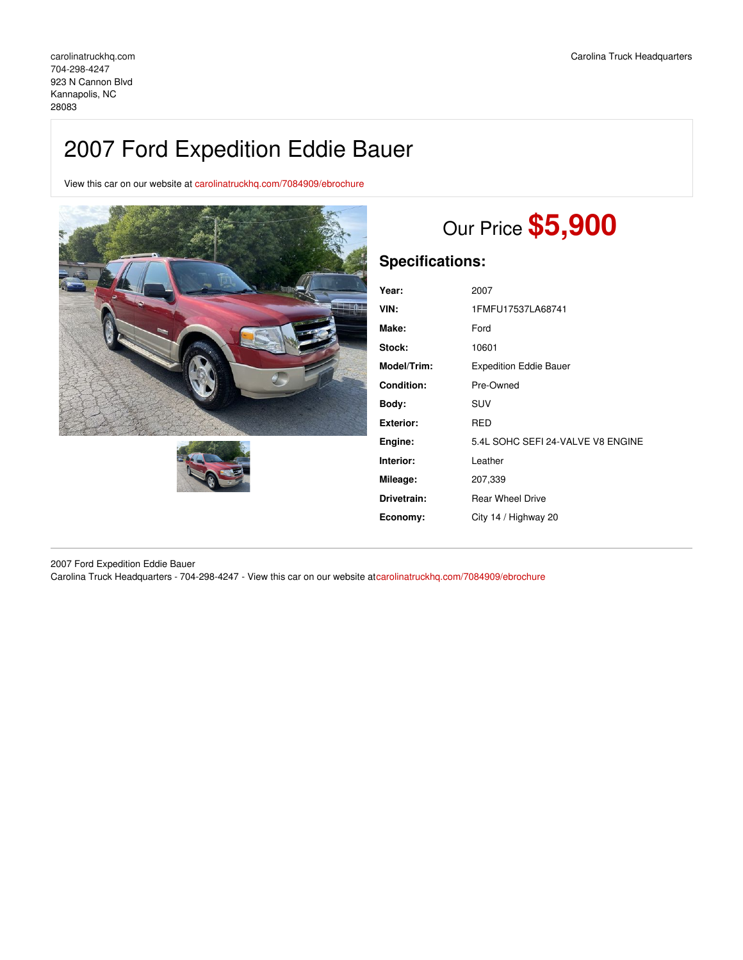# 2007 Ford Expedition Eddie Bauer

View this car on our website at [carolinatruckhq.com/7084909/ebrochure](https://carolinatruckhq.com/vehicle/7084909/2007-ford-expedition-eddie-bauer-kannapolis-nc-28083/7084909/ebrochure)





# Our Price **\$5,900**

## **Specifications:**

| Year:              | 2007                              |
|--------------------|-----------------------------------|
| VIN:               | 1FMFU17537LA68741                 |
| Make:              | Ford                              |
| Stock:             | 10601                             |
| <b>Model/Trim:</b> | <b>Expedition Eddie Bauer</b>     |
| <b>Condition:</b>  | Pre-Owned                         |
| Body:              | SUV                               |
| Exterior:          | RED                               |
| Engine:            | 5.4L SOHC SEFI 24-VALVE V8 ENGINE |
| Interior:          | Leather                           |
| Mileage:           | 207,339                           |
| Drivetrain:        | <b>Rear Wheel Drive</b>           |
| Economy:           | City 14 / Highway 20              |
|                    |                                   |

2007 Ford Expedition Eddie Bauer Carolina Truck Headquarters - 704-298-4247 - View this car on our website at[carolinatruckhq.com/7084909/ebrochure](https://carolinatruckhq.com/vehicle/7084909/2007-ford-expedition-eddie-bauer-kannapolis-nc-28083/7084909/ebrochure)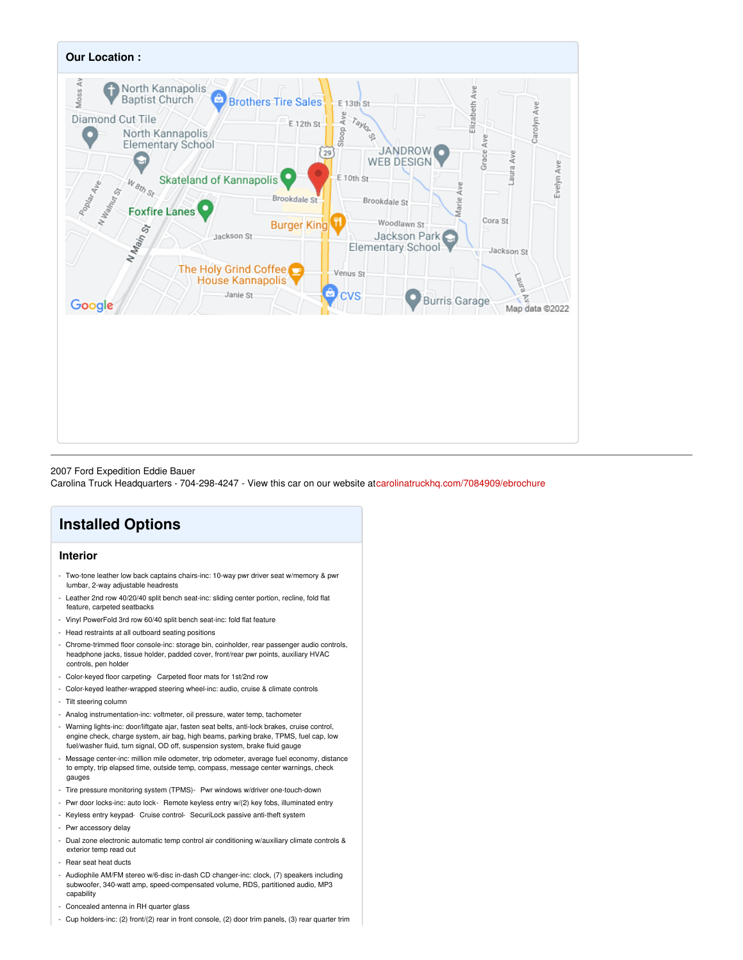

#### 2007 Ford Expedition Eddie Bauer

Carolina Truck Headquarters - 704-298-4247 - View this car on our website at[carolinatruckhq.com/7084909/ebrochure](https://carolinatruckhq.com/vehicle/7084909/2007-ford-expedition-eddie-bauer-kannapolis-nc-28083/7084909/ebrochure)

## **Installed Options**

### **Interior**

- Two-tone leather low back captains chairs-inc: 10-way pwr driver seat w/memory & pwr lumbar, 2-way adjustable headrests
- Leather 2nd row 40/20/40 split bench seat-inc: sliding center portion, recline, fold flat feature, carpeted seatbacks
- Vinyl PowerFold 3rd row 60/40 split bench seat-inc: fold flat feature
- Head restraints at all outboard seating positions
- Chrome-trimmed floor console-inc: storage bin, coinholder, rear passenger audio controls, headphone jacks, tissue holder, padded cover, front/rear pwr points, auxiliary HVAC controls, pen holder
- Color-keyed floor carpeting- Carpeted floor mats for 1st/2nd row
- Color-keyed leather-wrapped steering wheel-inc: audio, cruise & climate controls
- Tilt steering column
- Analog instrumentation-inc: voltmeter, oil pressure, water temp, tachometer
- Warning lights-inc: door/liftgate ajar, fasten seat belts, anti-lock brakes, cruise control, engine check, charge system, air bag, high beams, parking brake, TPMS, fuel cap, low fuel/washer fluid, turn signal, OD off, suspension system, brake fluid gauge
- Message center-inc: million mile odometer, trip odometer, average fuel economy, distance to empty, trip elapsed time, outside temp, compass, message center warnings, check gauges
- Tire pressure monitoring system (TPMS)- Pwr windows w/driver one-touch-down
- Pwr door locks-inc: auto lock- Remote keyless entry w/(2) key fobs, illuminated entry
- Keyless entry keypad- Cruise control- SecuriLock passive anti-theft system
- Pwr accessory delay
- Dual zone electronic automatic temp control air conditioning w/auxiliary climate controls & exterior temp read out
- Rear seat heat ducts
- Audiophile AM/FM stereo w/6-disc in-dash CD changer-inc: clock, (7) speakers including subwoofer, 340-watt amp, speed-compensated volume, RDS, partitioned audio, MP3 capability
- Concealed antenna in RH quarter glass
- Cup holders-inc: (2) front/(2) rear in front console, (2) door trim panels, (3) rear quarter trim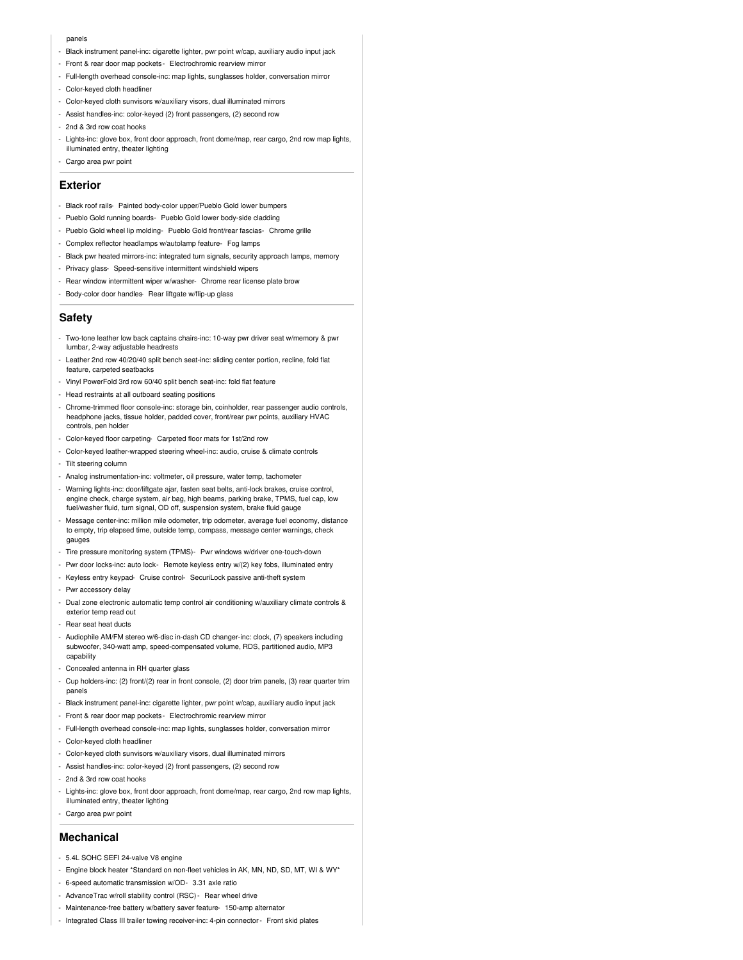#### panels

- Black instrument panel-inc: cigarette lighter, pwr point w/cap, auxiliary audio input jack
- Front & rear door map pockets Electrochromic rearview mirror
- Full-length overhead console-inc: map lights, sunglasses holder, conversation mirror
- Color-keyed cloth headliner
- Color-keyed cloth sunvisors w/auxiliary visors, dual illuminated mirrors
- Assist handles-inc: color-keyed (2) front passengers, (2) second row
- 2nd & 3rd row coat hooks
- Lights-inc: glove box, front door approach, front dome/map, rear cargo, 2nd row map lights, illuminated entry, theater lighting
- Cargo area pwr point

### **Exterior**

- Black roof rails- Painted body-color upper/Pueblo Gold lower bumpers
- Pueblo Gold running boards- Pueblo Gold lower body-side cladding
- Pueblo Gold wheel lip molding- Pueblo Gold front/rear fascias- Chrome grille
- Complex reflector headlamps w/autolamp feature- Fog lamps
- Black pwr heated mirrors-inc: integrated turn signals, security approach lamps, memory
- Privacy glass- Speed-sensitive intermittent windshield wipers
- Rear window intermittent wiper w/washer- Chrome rear license plate brow
- Body-color door handles- Rear liftgate w/flip-up glass

#### **Safety**

- Two-tone leather low back captains chairs-inc: 10-way pwr driver seat w/memory & pwr lumbar, 2-way adjustable headrests
- Leather 2nd row 40/20/40 split bench seat-inc: sliding center portion, recline, fold flat feature, carpeted seatbacks
- Vinyl PowerFold 3rd row 60/40 split bench seat-inc: fold flat feature
- Head restraints at all outboard seating positions
- Chrome-trimmed floor console-inc: storage bin, coinholder, rear passenger audio controls, headphone jacks, tissue holder, padded cover, front/rear pwr points, auxiliary HVAC controls, pen holder
- Color-keyed floor carpeting- Carpeted floor mats for 1st/2nd row
- Color-keyed leather-wrapped steering wheel-inc: audio, cruise & climate controls
- Tilt steering column
- Analog instrumentation-inc: voltmeter, oil pressure, water temp, tachometer
- Warning lights-inc: door/liftgate ajar, fasten seat belts, anti-lock brakes, cruise control, engine check, charge system, air bag, high beams, parking brake, TPMS, fuel cap, low fuel/washer fluid, turn signal, OD off, suspension system, brake fluid gauge
- Message center-inc: million mile odometer, trip odometer, average fuel economy, distance to empty, trip elapsed time, outside temp, compass, message center warnings, check gauges
- Tire pressure monitoring system (TPMS)- Pwr windows w/driver one-touch-down
- Pwr door locks-inc: auto lock- Remote keyless entry w/(2) key fobs, illuminated entry
- Keyless entry keypad- Cruise control- SecuriLock passive anti-theft system
- Pwr accessory delay
- Dual zone electronic automatic temp control air conditioning w/auxiliary climate controls & exterior temp read out
- Rear seat heat ducts
- Audiophile AM/FM stereo w/6-disc in-dash CD changer-inc: clock, (7) speakers including subwoofer, 340-watt amp, speed-compensated volume, RDS, partitioned audio, MP3 capability
- Concealed antenna in RH quarter glass
- Cup holders-inc: (2) front/(2) rear in front console, (2) door trim panels, (3) rear quarter trim panels
- Black instrument panel-inc: cigarette lighter, pwr point w/cap, auxiliary audio input jack
- Front & rear door map pockets Electrochromic rearview mirror
- Full-length overhead console-inc: map lights, sunglasses holder, conversation mirror
- Color-keyed cloth headliner
- Color-keyed cloth sunvisors w/auxiliary visors, dual illuminated mirrors
- Assist handles-inc: color-keyed (2) front passengers, (2) second row
- 2nd & 3rd row coat hooks
- Lights-inc: glove box, front door approach, front dome/map, rear cargo, 2nd row map lights, illuminated entry, theater lighting
- Cargo area pwr point

### **Mechanical**

- 5.4L SOHC SEFI 24-valve V8 engine
- Engine block heater \*Standard on non-fleet vehicles in AK, MN, ND, SD, MT, WI & WY\*
- 6-speed automatic transmission w/OD- 3.31 axle ratio
- AdvanceTrac w/roll stability control (RSC)- Rear wheel drive
- Maintenance-free battery w/battery saver feature- 150-amp alternator
- Integrated Class III trailer towing receiver-inc: 4-pin connector- Front skid plates